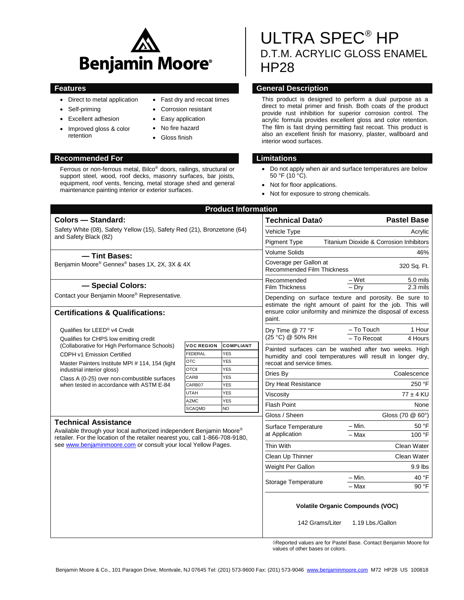

- Direct to metal application
- Self-priming
- Excellent adhesion
- Improved gloss & color retention
- **Recommended For Limitations**

Fast dry and recoat times

- Corrosion resistant
- Easy application
- No fire hazard
- Gloss finish

Ferrous or non-ferrous metal, Bilco® doors, railings, structural or support steel, wood, roof decks, masonry surfaces, bar joists, equipment, roof vents, fencing, metal storage shed and general maintenance painting interior or exterior surfaces.

# ULTRA SPEC® HP D.T.M. ACRYLIC GLOSS ENAMEL HP28

# **Features General Description**

This product is designed to perform a dual purpose as a direct to metal primer and finish. Both coats of the product provide rust inhibition for superior corrosion control. The acrylic formula provides excellent gloss and color retention. The film is fast drying permitting fast recoat. This product is also an excellent finish for masonry, plaster, wallboard and interior wood surfaces.

- Do not apply when air and surface temperatures are below 50 °F (10 °C).
- Not for floor applications.
- Not for exposure to strong chemicals.

| <b>Product Information</b>                                                                                                                                                                                                                          |                      |                          |                                                                                                                    |                                                      |                         |  |
|-----------------------------------------------------------------------------------------------------------------------------------------------------------------------------------------------------------------------------------------------------|----------------------|--------------------------|--------------------------------------------------------------------------------------------------------------------|------------------------------------------------------|-------------------------|--|
| Colors - Standard:                                                                                                                                                                                                                                  |                      |                          | <b>Technical Data</b> ♦                                                                                            |                                                      | <b>Pastel Base</b>      |  |
| Safety White (08), Safety Yellow (15), Safety Red (21), Bronzetone (64)<br>and Safety Black (82)                                                                                                                                                    |                      |                          | Vehicle Type                                                                                                       | Acrylic                                              |                         |  |
|                                                                                                                                                                                                                                                     |                      |                          | <b>Pigment Type</b><br><b>Titanium Dioxide &amp; Corrosion Inhibitors</b>                                          |                                                      |                         |  |
| - Tint Bases:<br>Benjamin Moore® Gennex® bases 1X, 2X, 3X & 4X                                                                                                                                                                                      |                      |                          | <b>Volume Solids</b>                                                                                               | 46%                                                  |                         |  |
|                                                                                                                                                                                                                                                     |                      |                          | Coverage per Gallon at<br>320 Sq. Ft.<br><b>Recommended Film Thickness</b>                                         |                                                      |                         |  |
| - Special Colors:                                                                                                                                                                                                                                   |                      |                          | Recommended<br><b>Film Thickness</b>                                                                               | – Wet<br>$-$ Dry                                     | 5.0 mils<br>2.3 mils    |  |
| Contact your Benjamin Moore® Representative.                                                                                                                                                                                                        |                      |                          | Depending on surface texture and porosity. Be sure to<br>estimate the right amount of paint for the job. This will |                                                      |                         |  |
| <b>Certifications &amp; Qualifications:</b>                                                                                                                                                                                                         |                      |                          | ensure color uniformity and minimize the disposal of excess<br>paint.                                              |                                                      |                         |  |
| Qualifies for LEED <sup>®</sup> v4 Credit                                                                                                                                                                                                           |                      |                          | Dry Time @ 77 °F                                                                                                   | - To Touch                                           | 1 Hour                  |  |
| Qualifies for CHPS low emitting credit<br>(Collaborative for High Performance Schools)                                                                                                                                                              | <b>VOC REGION</b>    | <b>COMPLIANT</b>         | (25 °C) @ 50% RH<br>- To Recoat                                                                                    |                                                      | 4 Hours                 |  |
| CDPH v1 Emission Certified                                                                                                                                                                                                                          | FEDERAL              | <b>YES</b>               |                                                                                                                    | Painted surfaces can be washed after two weeks. High |                         |  |
| Master Painters Institute MPI # 114, 154 (light<br>industrial interior gloss)<br>Class A (0-25) over non-combustible surfaces<br>when tested in accordance with ASTM E-84                                                                           | <b>OTC</b>           | <b>YES</b>               | humidity and cool temperatures will result in longer dry,<br>recoat and service times.                             |                                                      |                         |  |
|                                                                                                                                                                                                                                                     | <b>OTCII</b><br>CARB | <b>YES</b><br><b>YES</b> | Dries By                                                                                                           |                                                      | Coalescence             |  |
|                                                                                                                                                                                                                                                     | CARB07               | <b>YES</b>               | Dry Heat Resistance                                                                                                |                                                      | 250 °F<br>$77 \pm 4$ KU |  |
|                                                                                                                                                                                                                                                     | UTAH                 | <b>YES</b>               | Viscosity                                                                                                          |                                                      |                         |  |
|                                                                                                                                                                                                                                                     | <b>AZMC</b>          | <b>YES</b>               | <b>Flash Point</b>                                                                                                 |                                                      | None                    |  |
|                                                                                                                                                                                                                                                     | <b>SCAQMD</b>        | N <sub>O</sub>           | Gloss / Sheen                                                                                                      | Gloss (70 @ 60°)                                     |                         |  |
| <b>Technical Assistance</b><br>Available through your local authorized independent Benjamin Moore®<br>retailer. For the location of the retailer nearest you, call 1-866-708-9180,<br>see www.benjaminmoore.com or consult your local Yellow Pages. |                      |                          | Surface Temperature<br>at Application                                                                              | $- Min.$                                             | 50 °F                   |  |
|                                                                                                                                                                                                                                                     |                      |                          |                                                                                                                    | $-Max$                                               | 100 °F                  |  |
|                                                                                                                                                                                                                                                     |                      |                          | Thin With                                                                                                          |                                                      | Clean Water             |  |
|                                                                                                                                                                                                                                                     |                      |                          | Clean Up Thinner                                                                                                   | Clean Water                                          |                         |  |
|                                                                                                                                                                                                                                                     |                      |                          | Weight Per Gallon                                                                                                  | $9.9$ lbs                                            |                         |  |
|                                                                                                                                                                                                                                                     |                      |                          |                                                                                                                    | – Min.                                               | 40 °F                   |  |
|                                                                                                                                                                                                                                                     |                      |                          | Storage Temperature                                                                                                | - Max                                                | 90 °F                   |  |
|                                                                                                                                                                                                                                                     |                      |                          | <b>Volatile Organic Compounds (VOC)</b>                                                                            |                                                      |                         |  |
|                                                                                                                                                                                                                                                     |                      |                          | 142 Grams/Liter                                                                                                    | 1.19 Lbs./Gallon                                     |                         |  |

◊Reported values are for Pastel Base. Contact Benjamin Moore for values of other bases or colors.